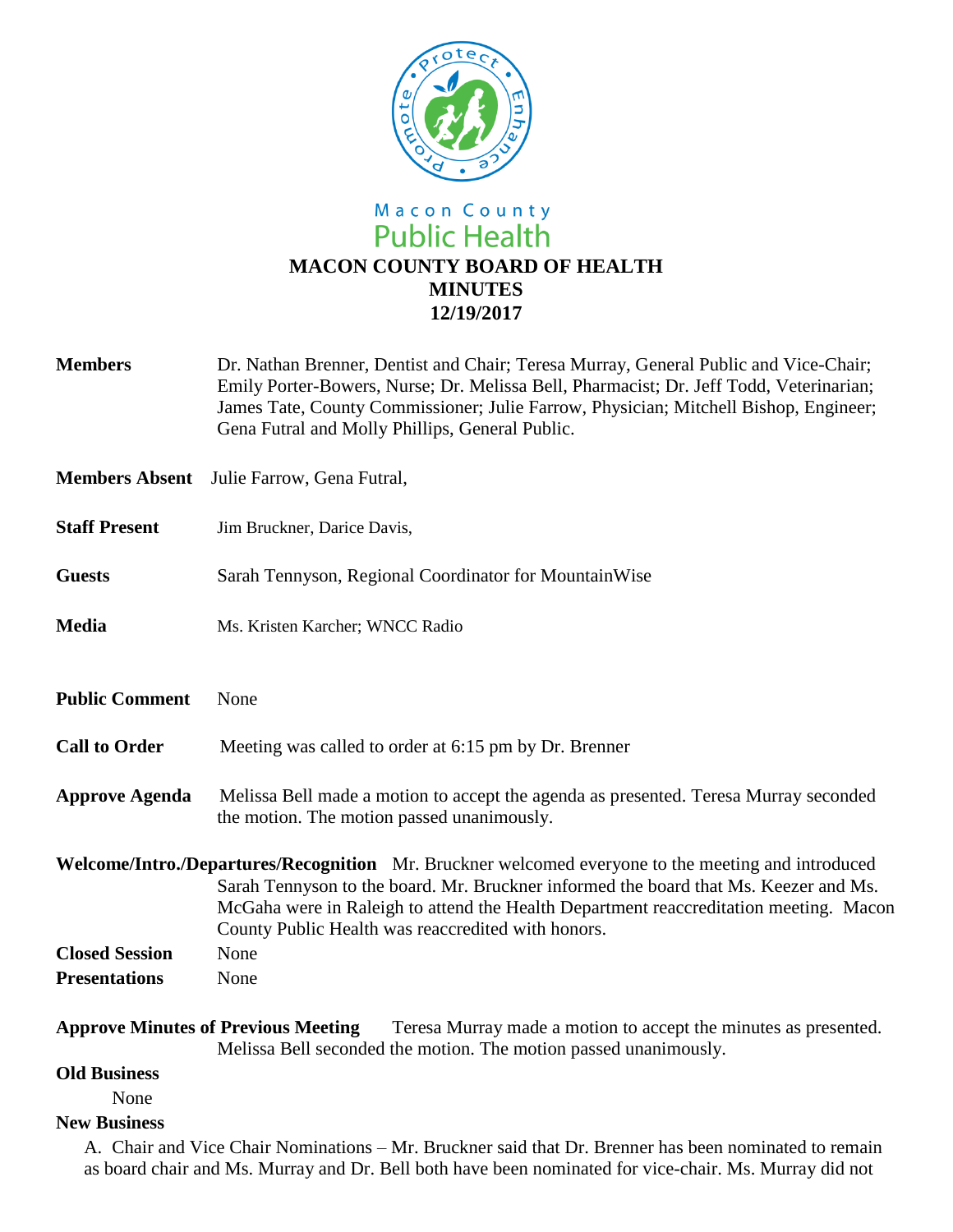

# Macon County<br>Public Health **MACON COUNTY BOARD OF HEALTH MINUTES 12/19/2017**

| <b>Members</b>                                                                                                                                                                    | Dr. Nathan Brenner, Dentist and Chair; Teresa Murray, General Public and Vice-Chair;<br>Emily Porter-Bowers, Nurse; Dr. Melissa Bell, Pharmacist; Dr. Jeff Todd, Veterinarian;<br>James Tate, County Commissioner; Julie Farrow, Physician; Mitchell Bishop, Engineer;<br>Gena Futral and Molly Phillips, General Public.                 |
|-----------------------------------------------------------------------------------------------------------------------------------------------------------------------------------|-------------------------------------------------------------------------------------------------------------------------------------------------------------------------------------------------------------------------------------------------------------------------------------------------------------------------------------------|
| <b>Members Absent</b>                                                                                                                                                             | Julie Farrow, Gena Futral,                                                                                                                                                                                                                                                                                                                |
| <b>Staff Present</b>                                                                                                                                                              | Jim Bruckner, Darice Davis,                                                                                                                                                                                                                                                                                                               |
| <b>Guests</b>                                                                                                                                                                     | Sarah Tennyson, Regional Coordinator for MountainWise                                                                                                                                                                                                                                                                                     |
| <b>Media</b>                                                                                                                                                                      | Ms. Kristen Karcher; WNCC Radio                                                                                                                                                                                                                                                                                                           |
| <b>Public Comment</b>                                                                                                                                                             | None                                                                                                                                                                                                                                                                                                                                      |
| <b>Call to Order</b>                                                                                                                                                              | Meeting was called to order at 6:15 pm by Dr. Brenner                                                                                                                                                                                                                                                                                     |
| <b>Approve Agenda</b>                                                                                                                                                             | Melissa Bell made a motion to accept the agenda as presented. Teresa Murray seconded<br>the motion. The motion passed unanimously.                                                                                                                                                                                                        |
|                                                                                                                                                                                   | Welcome/Intro./Departures/Recognition Mr. Bruckner welcomed everyone to the meeting and introduced<br>Sarah Tennyson to the board. Mr. Bruckner informed the board that Ms. Keezer and Ms.<br>McGaha were in Raleigh to attend the Health Department reaccreditation meeting. Macon<br>County Public Health was reaccredited with honors. |
| <b>Closed Session</b>                                                                                                                                                             | None                                                                                                                                                                                                                                                                                                                                      |
| <b>Presentations</b>                                                                                                                                                              | None                                                                                                                                                                                                                                                                                                                                      |
| <b>Approve Minutes of Previous Meeting</b><br>Teresa Murray made a motion to accept the minutes as presented.<br>Melissa Bell seconded the motion. The motion passed unanimously. |                                                                                                                                                                                                                                                                                                                                           |

#### **Old Business**

None

#### **New Business**

A. Chair and Vice Chair Nominations – Mr. Bruckner said that Dr. Brenner has been nominated to remain as board chair and Ms. Murray and Dr. Bell both have been nominated for vice-chair. Ms. Murray did not